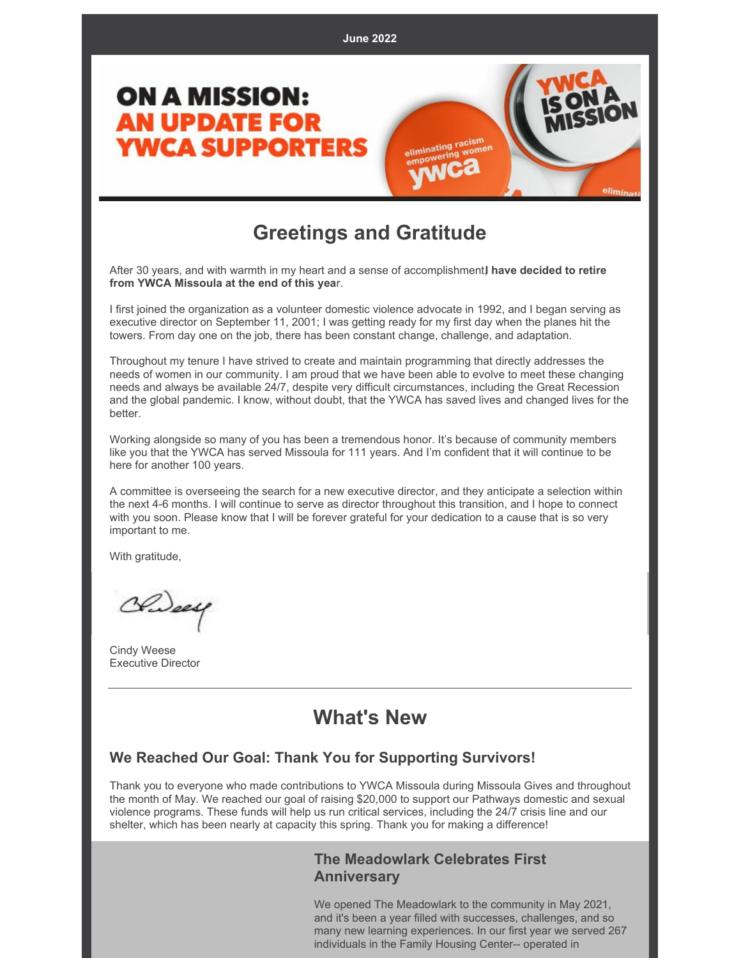

### **Greetings and Gratitude**

After 30 years, and with warmth in my heart and a sense of accomplishment,**I have decided to retire from YWCA Missoula at the end of this yea**r.

I first joined the organization as a volunteer domestic violence advocate in 1992, and I began serving as executive director on September 11, 2001; I was getting ready for my first day when the planes hit the towers. From day one on the job, there has been constant change, challenge, and adaptation.

Throughout my tenure I have strived to create and maintain programming that directly addresses the needs of women in our community. I am proud that we have been able to evolve to meet these changing needs and always be available 24/7, despite very difficult circumstances, including the Great Recession and the global pandemic. I know, without doubt, that the YWCA has saved lives and changed lives for the better.

Working alongside so many of you has been a tremendous honor. It's because of community members like you that the YWCA has served Missoula for 111 years. And I'm confident that it will continue to be here for another 100 years.

A committee is overseeing the search for a new executive director, and they anticipate a selection within the next 4-6 months. I will continue to serve as director throughout this transition, and I hope to connect with you soon. Please know that I will be forever grateful for your dedication to a cause that is so very important to me.

With gratitude,

Chideau

Cindy Weese Executive Director

### **What's New**

#### **We Reached Our Goal: Thank You for Supporting Survivors!**

Thank you to everyone who made contributions to YWCA Missoula during Missoula Gives and throughout the month of May. We reached our goal of raising \$20,000 to support our Pathways domestic and sexual violence programs. These funds will help us run critical services, including the 24/7 crisis line and our shelter, which has been nearly at capacity this spring. Thank you for making a difference!

#### **The Meadowlark Celebrates First Anniversary**

We opened The Meadowlark to the community in May 2021, and it's been a year filled with successes, challenges, and so many new learning experiences. In our first year we served 267 individuals in the Family Housing Center-- operated in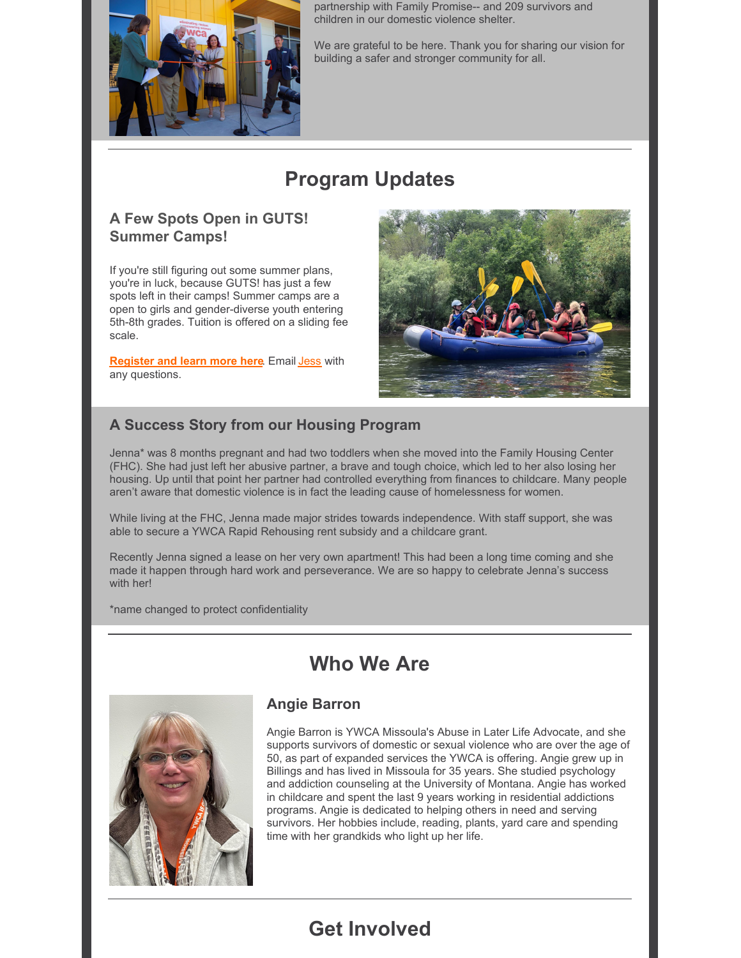

partnership with Family Promise-- and 209 survivors and children in our domestic violence shelter.

We are grateful to be here. Thank you for sharing our vision for building a safer and stronger community for all.

# **Program Updates**

### **A Few Spots Open in GUTS! Summer Camps!**

If you're still figuring out some summer plans, you're in luck, because GUTS! has just a few spots left in their camps! Summer camps are a open to girls and gender-diverse youth entering 5th-8th grades. Tuition is offered on a sliding fee scale.

**[Register](https://www.ywcamissoula.org/2022/03/summer-outdoor-adventures/) and learn more here**. Email [Jess](mailto:jmonis@ywcaofmissoula.org) with any questions.



### **A Success Story from our Housing Program**

Jenna\* was 8 months pregnant and had two toddlers when she moved into the Family Housing Center (FHC). She had just left her abusive partner, a brave and tough choice, which led to her also losing her housing. Up until that point her partner had controlled everything from finances to childcare. Many people aren't aware that domestic violence is in fact the leading cause of homelessness for women.

While living at the FHC, Jenna made major strides towards independence. With staff support, she was able to secure a YWCA Rapid Rehousing rent subsidy and a childcare grant.

Recently Jenna signed a lease on her very own apartment! This had been a long time coming and she made it happen through hard work and perseverance. We are so happy to celebrate Jenna's success with her!

\*name changed to protect confidentiality

### **Who We Are**



#### **Angie Barron**

Angie Barron is YWCA Missoula's Abuse in Later Life Advocate, and she supports survivors of domestic or sexual violence who are over the age of 50, as part of expanded services the YWCA is offering. Angie grew up in Billings and has lived in Missoula for 35 years. She studied psychology and addiction counseling at the University of Montana. Angie has worked in childcare and spent the last 9 years working in residential addictions programs. Angie is dedicated to helping others in need and serving survivors. Her hobbies include, reading, plants, yard care and spending time with her grandkids who light up her life.

## **Get Involved**